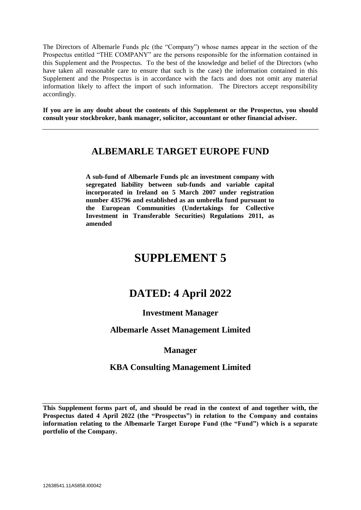The Directors of Albemarle Funds plc (the "Company") whose names appear in the section of the Prospectus entitled "THE COMPANY" are the persons responsible for the information contained in this Supplement and the Prospectus. To the best of the knowledge and belief of the Directors (who have taken all reasonable care to ensure that such is the case) the information contained in this Supplement and the Prospectus is in accordance with the facts and does not omit any material information likely to affect the import of such information. The Directors accept responsibility accordingly.

**If you are in any doubt about the contents of this Supplement or the Prospectus, you should consult your stockbroker, bank manager, solicitor, accountant or other financial adviser.**

## **ALBEMARLE TARGET EUROPE FUND**

**A sub-fund of Albemarle Funds plc an investment company with segregated liability between sub-funds and variable capital incorporated in Ireland on 5 March 2007 under registration number 435796 and established as an umbrella fund pursuant to the European Communities (Undertakings for Collective Investment in Transferable Securities) Regulations 2011, as amended**

# **SUPPLEMENT 5**

## **DATED: 4 April 2022**

## **Investment Manager**

## **Albemarle Asset Management Limited**

## **Manager**

## **KBA Consulting Management Limited**

**This Supplement forms part of, and should be read in the context of and together with, the Prospectus dated 4 April 2022 (the "Prospectus") in relation to the Company and contains information relating to the Albemarle Target Europe Fund (the "Fund") which is a separate portfolio of the Company.**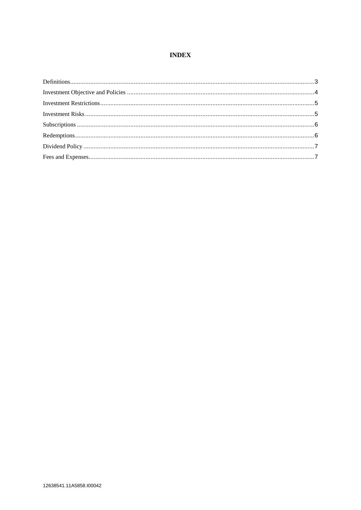#### **INDEX**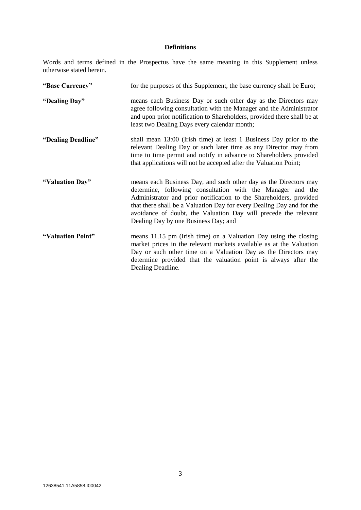### **Definitions**

Words and terms defined in the Prospectus have the same meaning in this Supplement unless otherwise stated herein.

| "Base Currency"    | for the purposes of this Supplement, the base currency shall be Euro;                                                                                                                                                                                                                                                                                                                    |
|--------------------|------------------------------------------------------------------------------------------------------------------------------------------------------------------------------------------------------------------------------------------------------------------------------------------------------------------------------------------------------------------------------------------|
| "Dealing Day"      | means each Business Day or such other day as the Directors may<br>agree following consultation with the Manager and the Administrator<br>and upon prior notification to Shareholders, provided there shall be at<br>least two Dealing Days every calendar month;                                                                                                                         |
| "Dealing Deadline" | shall mean 13:00 (Irish time) at least 1 Business Day prior to the<br>relevant Dealing Day or such later time as any Director may from<br>time to time permit and notify in advance to Shareholders provided<br>that applications will not be accepted after the Valuation Point;                                                                                                        |
| "Valuation Day"    | means each Business Day, and such other day as the Directors may<br>determine, following consultation with the Manager and the<br>Administrator and prior notification to the Shareholders, provided<br>that there shall be a Valuation Day for every Dealing Day and for the<br>avoidance of doubt, the Valuation Day will precede the relevant<br>Dealing Day by one Business Day; and |
| "Valuation Point"  | means 11.15 pm (Irish time) on a Valuation Day using the closing<br>market prices in the relevant markets available as at the Valuation<br>Day or such other time on a Valuation Day as the Directors may<br>determine provided that the valuation point is always after the<br>Dealing Deadline.                                                                                        |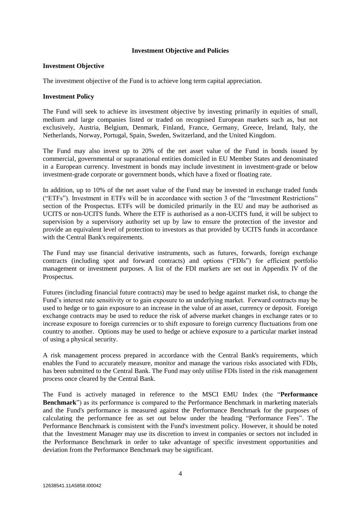#### **Investment Objective and Policies**

#### **Investment Objective**

The investment objective of the Fund is to achieve long term capital appreciation.

#### **Investment Policy**

The Fund will seek to achieve its investment objective by investing primarily in equities of small, medium and large companies listed or traded on recognised European markets such as, but not exclusively, Austria, Belgium, Denmark, Finland, France, Germany, Greece, Ireland, Italy, the Netherlands, Norway, Portugal, Spain, Sweden, Switzerland, and the United Kingdom.

The Fund may also invest up to 20% of the net asset value of the Fund in bonds issued by commercial, governmental or supranational entities domiciled in EU Member States and denominated in a European currency. Investment in bonds may include investment in investment-grade or below investment-grade corporate or government bonds, which have a fixed or floating rate.

In addition, up to 10% of the net asset value of the Fund may be invested in exchange traded funds ("ETFs"). Investment in ETFs will be in accordance with section 3 of the "Investment Restrictions" section of the Prospectus. ETFs will be domiciled primarily in the EU and may be authorised as UCITS or non-UCITS funds. Where the ETF is authorised as a non-UCITS fund, it will be subject to supervision by a supervisory authority set up by law to ensure the protection of the investor and provide an equivalent level of protection to investors as that provided by UCITS funds in accordance with the Central Bank's requirements.

The Fund may use financial derivative instruments, such as futures, forwards, foreign exchange contracts (including spot and forward contracts) and options ("FDIs") for efficient portfolio management or investment purposes. A list of the FDI markets are set out in Appendix IV of the Prospectus.

Futures (including financial future contracts) may be used to hedge against market risk, to change the Fund's interest rate sensitivity or to gain exposure to an underlying market. Forward contracts may be used to hedge or to gain exposure to an increase in the value of an asset, currency or deposit. Foreign exchange contracts may be used to reduce the risk of adverse market changes in exchange rates or to increase exposure to foreign currencies or to shift exposure to foreign currency fluctuations from one country to another. Options may be used to hedge or achieve exposure to a particular market instead of using a physical security.

A risk management process prepared in accordance with the Central Bank's requirements, which enables the Fund to accurately measure, monitor and manage the various risks associated with FDIs, has been submitted to the Central Bank. The Fund may only utilise FDIs listed in the risk management process once cleared by the Central Bank.

The Fund is actively managed in reference to the MSCI EMU Index (the "**Performance Benchmark**") as its performance is compared to the Performance Benchmark in marketing materials and the Fund's performance is measured against the Performance Benchmark for the purposes of calculating the performance fee as set out below under the heading "Performance Fees". The Performance Benchmark is consistent with the Fund's investment policy. However, it should be noted that the Investment Manager may use its discretion to invest in companies or sectors not included in the Performance Benchmark in order to take advantage of specific investment opportunities and deviation from the Performance Benchmark may be significant.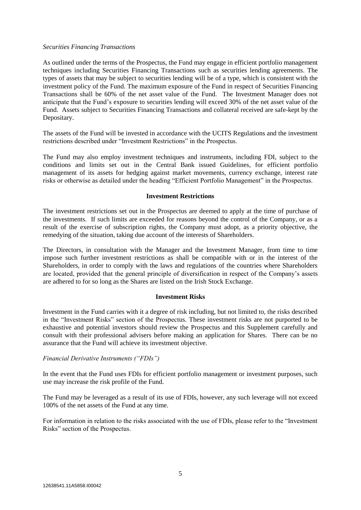#### *Securities Financing Transactions*

As outlined under the terms of the Prospectus, the Fund may engage in efficient portfolio management techniques including Securities Financing Transactions such as securities lending agreements. The types of assets that may be subject to securities lending will be of a type, which is consistent with the investment policy of the Fund. The maximum exposure of the Fund in respect of Securities Financing Transactions shall be 60% of the net asset value of the Fund. The Investment Manager does not anticipate that the Fund's exposure to securities lending will exceed 30% of the net asset value of the Fund. Assets subject to Securities Financing Transactions and collateral received are safe-kept by the Depositary.

The assets of the Fund will be invested in accordance with the UCITS Regulations and the investment restrictions described under "Investment Restrictions" in the Prospectus.

The Fund may also employ investment techniques and instruments, including FDI, subject to the conditions and limits set out in the Central Bank issued Guidelines, for efficient portfolio management of its assets for hedging against market movements, currency exchange, interest rate risks or otherwise as detailed under the heading "Efficient Portfolio Management" in the Prospectus.

#### **Investment Restrictions**

The investment restrictions set out in the Prospectus are deemed to apply at the time of purchase of the investments. If such limits are exceeded for reasons beyond the control of the Company, or as a result of the exercise of subscription rights, the Company must adopt, as a priority objective, the remedying of the situation, taking due account of the interests of Shareholders.

The Directors, in consultation with the Manager and the Investment Manager, from time to time impose such further investment restrictions as shall be compatible with or in the interest of the Shareholders, in order to comply with the laws and regulations of the countries where Shareholders are located, provided that the general principle of diversification in respect of the Company's assets are adhered to for so long as the Shares are listed on the Irish Stock Exchange.

#### **Investment Risks**

Investment in the Fund carries with it a degree of risk including, but not limited to, the risks described in the "Investment Risks" section of the Prospectus. These investment risks are not purported to be exhaustive and potential investors should review the Prospectus and this Supplement carefully and consult with their professional advisers before making an application for Shares. There can be no assurance that the Fund will achieve its investment objective.

#### *Financial Derivative Instruments ("FDIs")*

In the event that the Fund uses FDIs for efficient portfolio management or investment purposes, such use may increase the risk profile of the Fund.

The Fund may be leveraged as a result of its use of FDIs, however, any such leverage will not exceed 100% of the net assets of the Fund at any time.

For information in relation to the risks associated with the use of FDIs, please refer to the "Investment Risks" section of the Prospectus.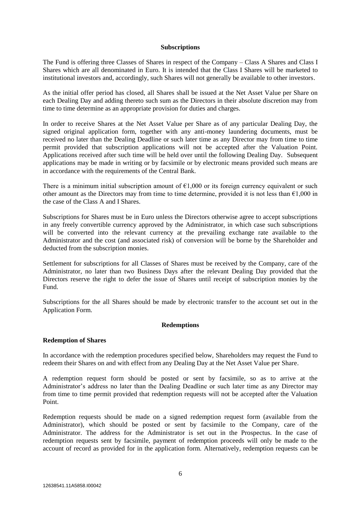#### **Subscriptions**

The Fund is offering three Classes of Shares in respect of the Company – Class A Shares and Class I Shares which are all denominated in Euro. It is intended that the Class I Shares will be marketed to institutional investors and, accordingly, such Shares will not generally be available to other investors.

As the initial offer period has closed, all Shares shall be issued at the Net Asset Value per Share on each Dealing Day and adding thereto such sum as the Directors in their absolute discretion may from time to time determine as an appropriate provision for duties and charges.

In order to receive Shares at the Net Asset Value per Share as of any particular Dealing Day, the signed original application form, together with any anti-money laundering documents, must be received no later than the Dealing Deadline or such later time as any Director may from time to time permit provided that subscription applications will not be accepted after the Valuation Point. Applications received after such time will be held over until the following Dealing Day. Subsequent applications may be made in writing or by facsimile or by electronic means provided such means are in accordance with the requirements of the Central Bank.

There is a minimum initial subscription amount of  $\epsilon$ 1,000 or its foreign currency equivalent or such other amount as the Directors may from time to time determine, provided it is not less than  $\epsilon$ 1,000 in the case of the Class A and I Shares.

Subscriptions for Shares must be in Euro unless the Directors otherwise agree to accept subscriptions in any freely convertible currency approved by the Administrator, in which case such subscriptions will be converted into the relevant currency at the prevailing exchange rate available to the Administrator and the cost (and associated risk) of conversion will be borne by the Shareholder and deducted from the subscription monies.

Settlement for subscriptions for all Classes of Shares must be received by the Company, care of the Administrator, no later than two Business Days after the relevant Dealing Day provided that the Directors reserve the right to defer the issue of Shares until receipt of subscription monies by the Fund.

Subscriptions for the all Shares should be made by electronic transfer to the account set out in the Application Form.

#### **Redemptions**

#### **Redemption of Shares**

In accordance with the redemption procedures specified below, Shareholders may request the Fund to redeem their Shares on and with effect from any Dealing Day at the Net Asset Value per Share.

A redemption request form should be posted or sent by facsimile, so as to arrive at the Administrator's address no later than the Dealing Deadline or such later time as any Director may from time to time permit provided that redemption requests will not be accepted after the Valuation Point.

Redemption requests should be made on a signed redemption request form (available from the Administrator), which should be posted or sent by facsimile to the Company, care of the Administrator. The address for the Administrator is set out in the Prospectus. In the case of redemption requests sent by facsimile, payment of redemption proceeds will only be made to the account of record as provided for in the application form. Alternatively, redemption requests can be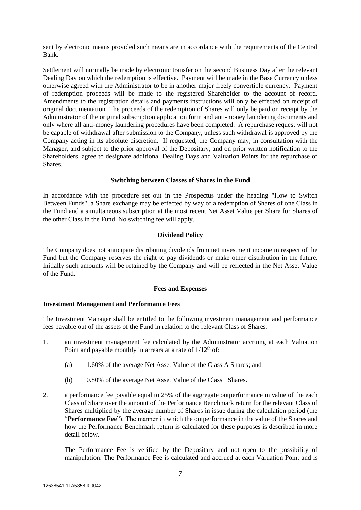sent by electronic means provided such means are in accordance with the requirements of the Central Bank.

Settlement will normally be made by electronic transfer on the second Business Day after the relevant Dealing Day on which the redemption is effective. Payment will be made in the Base Currency unless otherwise agreed with the Administrator to be in another major freely convertible currency. Payment of redemption proceeds will be made to the registered Shareholder to the account of record. Amendments to the registration details and payments instructions will only be effected on receipt of original documentation. The proceeds of the redemption of Shares will only be paid on receipt by the Administrator of the original subscription application form and anti-money laundering documents and only where all anti-money laundering procedures have been completed. A repurchase request will not be capable of withdrawal after submission to the Company, unless such withdrawal is approved by the Company acting in its absolute discretion. If requested, the Company may, in consultation with the Manager, and subject to the prior approval of the Depositary, and on prior written notification to the Shareholders, agree to designate additional Dealing Days and Valuation Points for the repurchase of **Shares**.

#### **Switching between Classes of Shares in the Fund**

In accordance with the procedure set out in the Prospectus under the heading "How to Switch Between Funds", a Share exchange may be effected by way of a redemption of Shares of one Class in the Fund and a simultaneous subscription at the most recent Net Asset Value per Share for Shares of the other Class in the Fund. No switching fee will apply.

#### **Dividend Policy**

The Company does not anticipate distributing dividends from net investment income in respect of the Fund but the Company reserves the right to pay dividends or make other distribution in the future. Initially such amounts will be retained by the Company and will be reflected in the Net Asset Value of the Fund.

#### **Fees and Expenses**

#### **Investment Management and Performance Fees**

The Investment Manager shall be entitled to the following investment management and performance fees payable out of the assets of the Fund in relation to the relevant Class of Shares:

- 1. an investment management fee calculated by the Administrator accruing at each Valuation Point and payable monthly in arrears at a rate of  $1/12<sup>th</sup>$  of:
	- (a) 1.60% of the average Net Asset Value of the Class A Shares; and
	- (b) 0.80% of the average Net Asset Value of the Class I Shares.
- 2. a performance fee payable equal to 25% of the aggregate outperformance in value of the each Class of Share over the amount of the Performance Benchmark return for the relevant Class of Shares multiplied by the average number of Shares in issue during the calculation period (the "**Performance Fee**"). The manner in which the outperformance in the value of the Shares and how the Performance Benchmark return is calculated for these purposes is described in more detail below.

The Performance Fee is verified by the Depositary and not open to the possibility of manipulation. The Performance Fee is calculated and accrued at each Valuation Point and is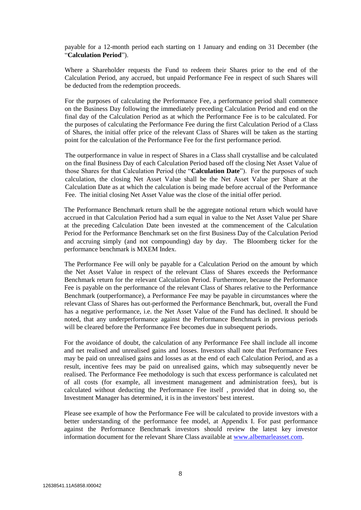payable for a 12-month period each starting on 1 January and ending on 31 December (the "**Calculation Period**").

Where a Shareholder requests the Fund to redeem their Shares prior to the end of the Calculation Period, any accrued, but unpaid Performance Fee in respect of such Shares will be deducted from the redemption proceeds.

For the purposes of calculating the Performance Fee, a performance period shall commence on the Business Day following the immediately preceding Calculation Period and end on the final day of the Calculation Period as at which the Performance Fee is to be calculated. For the purposes of calculating the Performance Fee during the first Calculation Period of a Class of Shares, the initial offer price of the relevant Class of Shares will be taken as the starting point for the calculation of the Performance Fee for the first performance period.

The outperformance in value in respect of Shares in a Class shall crystallise and be calculated on the final Business Day of each Calculation Period based off the closing Net Asset Value of those Shares for that Calculation Period (the "**Calculation Date**"). For the purposes of such calculation, the closing Net Asset Value shall be the Net Asset Value per Share at the Calculation Date as at which the calculation is being made before accrual of the Performance Fee. The initial closing Net Asset Value was the close of the initial offer period.

The Performance Benchmark return shall be the aggregate notional return which would have accrued in that Calculation Period had a sum equal in value to the Net Asset Value per Share at the preceding Calculation Date been invested at the commencement of the Calculation Period for the Performance Benchmark set on the first Business Day of the Calculation Period and accruing simply (and not compounding) day by day. The Bloomberg ticker for the performance benchmark is MXEM Index.

The Performance Fee will only be payable for a Calculation Period on the amount by which the Net Asset Value in respect of the relevant Class of Shares exceeds the Performance Benchmark return for the relevant Calculation Period. Furthermore, because the Performance Fee is payable on the performance of the relevant Class of Shares relative to the Performance Benchmark (outperformance), a Performance Fee may be payable in circumstances where the relevant Class of Shares has out-performed the Performance Benchmark, but, overall the Fund has a negative performance, i.e. the Net Asset Value of the Fund has declined. It should be noted, that any underperformance against the Performance Benchmark in previous periods will be cleared before the Performance Fee becomes due in subsequent periods.

For the avoidance of doubt, the calculation of any Performance Fee shall include all income and net realised and unrealised gains and losses. Investors shall note that Performance Fees may be paid on unrealised gains and losses as at the end of each Calculation Period, and as a result, incentive fees may be paid on unrealised gains, which may subsequently never be realised. The Performance Fee methodology is such that excess performance is calculated net of all costs (for example, all investment management and administration fees), but is calculated without deducting the Performance Fee itself , provided that in doing so, the Investment Manager has determined, it is in the investors' best interest.

Please see example of how the Performance Fee will be calculated to provide investors with a better understanding of the performance fee model, at Appendix I. For past performance against the Performance Benchmark investors should review the latest key investor information document for the relevant Share Class available at [www.albemarleasset.com.](http://www.albemarleasset.com/)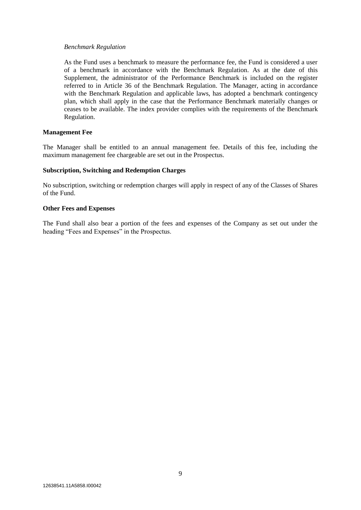#### *Benchmark Regulation*

As the Fund uses a benchmark to measure the performance fee, the Fund is considered a user of a benchmark in accordance with the Benchmark Regulation. As at the date of this Supplement, the administrator of the Performance Benchmark is included on the register referred to in Article 36 of the Benchmark Regulation. The Manager, acting in accordance with the Benchmark Regulation and applicable laws, has adopted a benchmark contingency plan, which shall apply in the case that the Performance Benchmark materially changes or ceases to be available. The index provider complies with the requirements of the Benchmark Regulation.

#### **Management Fee**

The Manager shall be entitled to an annual management fee. Details of this fee, including the maximum management fee chargeable are set out in the Prospectus.

#### **Subscription, Switching and Redemption Charges**

No subscription, switching or redemption charges will apply in respect of any of the Classes of Shares of the Fund.

#### **Other Fees and Expenses**

The Fund shall also bear a portion of the fees and expenses of the Company as set out under the heading "Fees and Expenses" in the Prospectus.